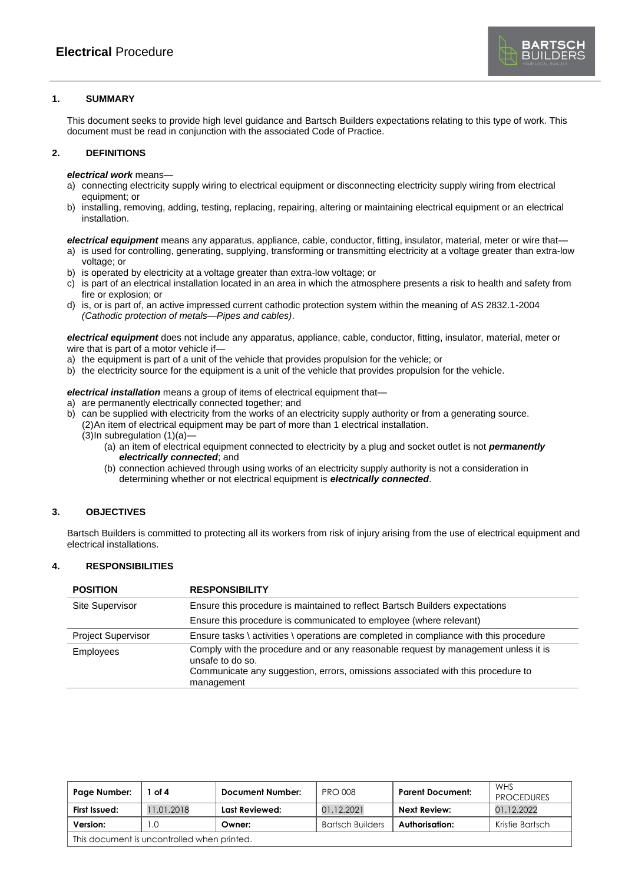

# **1. SUMMARY**

This document seeks to provide high level guidance and Bartsch Builders expectations relating to this type of work. This document must be read in conjunction with the associated Code of Practice.

## **2. DEFINITIONS**

*electrical work* means—

- a) connecting electricity supply wiring to electrical equipment or disconnecting electricity supply wiring from electrical equipment; or
- b) installing, removing, adding, testing, replacing, repairing, altering or maintaining electrical equipment or an electrical installation.

*electrical equipment* means any apparatus, appliance, cable, conductor, fitting, insulator, material, meter or wire that—

- a) is used for controlling, generating, supplying, transforming or transmitting electricity at a voltage greater than extra-low voltage; or
- b) is operated by electricity at a voltage greater than extra-low voltage; or
- c) is part of an electrical installation located in an area in which the atmosphere presents a risk to health and safety from fire or explosion; or
- d) is, or is part of, an active impressed current cathodic protection system within the meaning of AS 2832.1-2004 *(Cathodic protection of metals—Pipes and cables)*.

*electrical equipment* does not include any apparatus, appliance, cable, conductor, fitting, insulator, material, meter or wire that is part of a motor vehicle if—

- a) the equipment is part of a unit of the vehicle that provides propulsion for the vehicle; or
- b) the electricity source for the equipment is a unit of the vehicle that provides propulsion for the vehicle.

*electrical installation* means a group of items of electrical equipment that—

- <span id="page-0-0"></span>a) are permanently electrically connected together; and
- b) can be supplied with electricity from the works of an electricity supply authority or from a generating source. (2)An item of electrical equipment may be part of more than 1 electrical installation.  $(3)$ In [subregulation](#page-0-0)  $(1)(a)$ —
	- (a) an item of electrical equipment connected to electricity by a plug and socket outlet is not *permanently electrically connected*; and
	- (b) connection achieved through using works of an electricity supply authority is not a consideration in determining whether or not electrical equipment is *electrically connected*.

# **3. OBJECTIVES**

Bartsch Builders is committed to protecting all its workers from risk of injury arising from the use of electrical equipment and electrical installations.

## **4. RESPONSIBILITIES**

| <b>POSITION</b>           | <b>RESPONSIBILITY</b>                                                                                                                                                                     |  |  |  |
|---------------------------|-------------------------------------------------------------------------------------------------------------------------------------------------------------------------------------------|--|--|--|
| Site Supervisor           | Ensure this procedure is maintained to reflect Bartsch Builders expectations                                                                                                              |  |  |  |
|                           | Ensure this procedure is communicated to employee (where relevant)                                                                                                                        |  |  |  |
| <b>Project Supervisor</b> | Ensure tasks \ activities \ operations are completed in compliance with this procedure                                                                                                    |  |  |  |
| <b>Employees</b>          | Comply with the procedure and or any reasonable request by management unless it is<br>unsafe to do so.<br>Communicate any suggestion, errors, omissions associated with this procedure to |  |  |  |
|                           | management                                                                                                                                                                                |  |  |  |

| Page Number:                                | of 4       | Document Number: | <b>PRO 008</b>          | <b>Parent Document:</b> | WHS<br><b>PROCEDURES</b> |
|---------------------------------------------|------------|------------------|-------------------------|-------------------------|--------------------------|
| First Issued:                               | 11.01.2018 | Last Reviewed:   | 01.12.2021              | <b>Next Review:</b>     | 01.12.2022               |
| Version:                                    | $\Omega$   | Owner:           | <b>Bartsch Builders</b> | Authorisation:          | Kristie Bartsch          |
| This document is uncontrolled when printed. |            |                  |                         |                         |                          |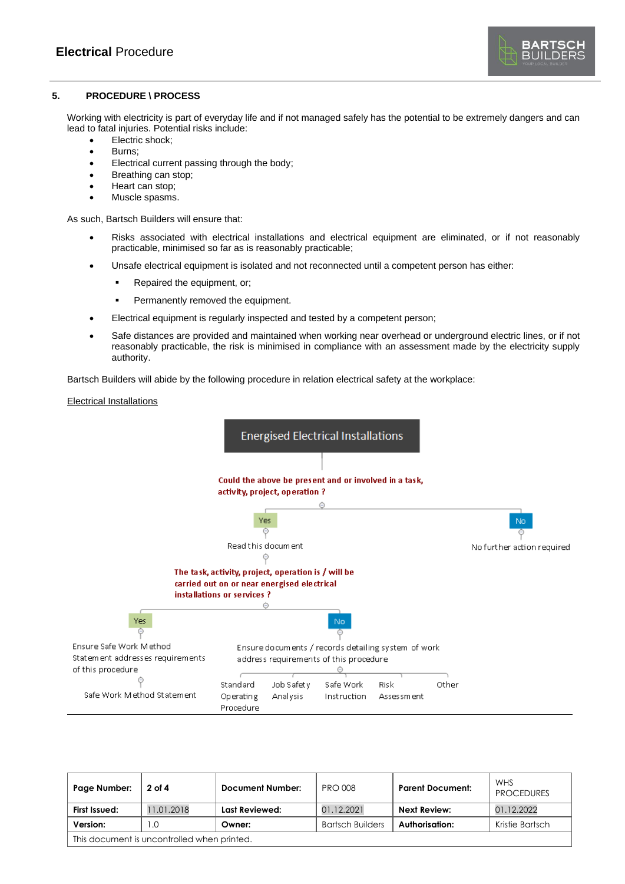

# **5. PROCEDURE \ PROCESS**

Working with electricity is part of everyday life and if not managed safely has the potential to be extremely dangers and can lead to fatal injuries. Potential risks include:

- Electric shock;
- Burns;
- Electrical current passing through the body;
- Breathing can stop;
- Heart can stop;
- Muscle spasms.

As such, Bartsch Builders will ensure that:

- Risks associated with electrical installations and electrical equipment are eliminated, or if not reasonably practicable, minimised so far as is reasonably practicable;
- Unsafe electrical equipment is isolated and not reconnected until a competent person has either:
	- Repaired the equipment, or;
	- Permanently removed the equipment.
- Electrical equipment is regularly inspected and tested by a competent person;
- Safe distances are provided and maintained when working near overhead or underground electric lines, or if not reasonably practicable, the risk is minimised in compliance with an assessment made by the electricity supply authority.

Bartsch Builders will abide by the following procedure in relation electrical safety at the workplace:

# Electrical Installations



| Page Number:                                | 2 of 4    | Document Number: | <b>PRO 008</b>          | <b>Parent Document:</b> | <b>WHS</b><br><b>PROCEDURES</b> |
|---------------------------------------------|-----------|------------------|-------------------------|-------------------------|---------------------------------|
| First Issued:                               | 1.01.2018 | Last Reviewed:   | 01.12.2021              | <b>Next Review:</b>     | 01.12.2022                      |
| Version:                                    | 1.0       | Owner:           | <b>Bartsch Builders</b> | Authorisation:          | Kristie Bartsch                 |
| This document is uncontrolled when printed. |           |                  |                         |                         |                                 |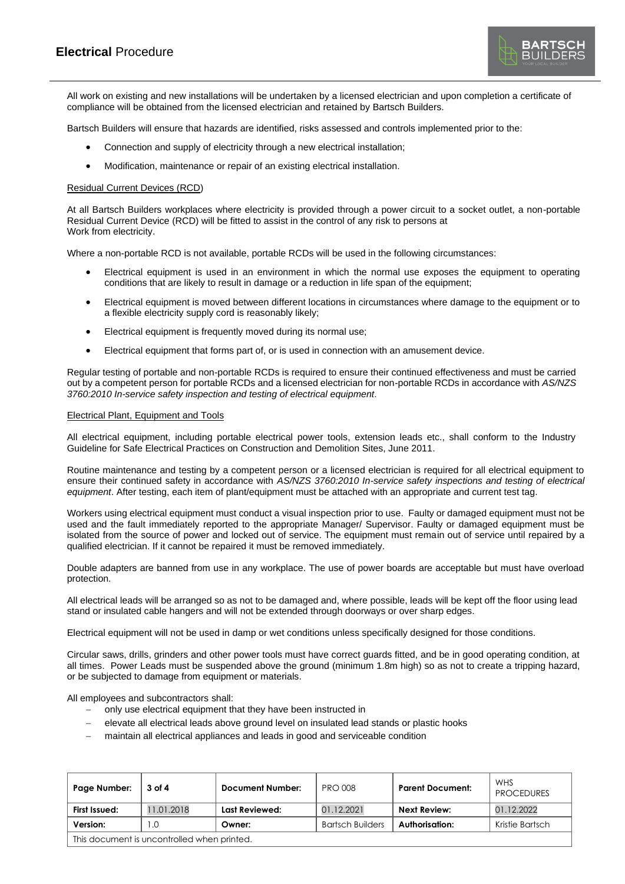All work on existing and new installations will be undertaken by a licensed electrician and upon completion a certificate of compliance will be obtained from the licensed electrician and retained by Bartsch Builders.

Bartsch Builders will ensure that hazards are identified, risks assessed and controls implemented prior to the:

- Connection and supply of electricity through a new electrical installation;
- Modification, maintenance or repair of an existing electrical installation.

#### Residual Current Devices (RCD)

At all Bartsch Builders workplaces where electricity is provided through a power circuit to a socket outlet, a non-portable Residual Current Device (RCD) will be fitted to assist in the control of any risk to persons at Work from electricity.

Where a non-portable RCD is not available, portable RCDs will be used in the following circumstances:

- Electrical equipment is used in an environment in which the normal use exposes the equipment to operating conditions that are likely to result in damage or a reduction in life span of the equipment;
- Electrical equipment is moved between different locations in circumstances where damage to the equipment or to a flexible electricity supply cord is reasonably likely;
- Electrical equipment is frequently moved during its normal use;
- Electrical equipment that forms part of, or is used in connection with an amusement device.

Regular testing of portable and non-portable RCDs is required to ensure their continued effectiveness and must be carried out by a competent person for portable RCDs and a licensed electrician for non-portable RCDs in accordance with *AS/NZS 3760:2010 In-service safety inspection and testing of electrical equipment*.

#### Electrical Plant, Equipment and Tools

All electrical equipment, including portable electrical power tools, extension leads etc., shall conform to the Industry Guideline for Safe Electrical Practices on Construction and Demolition Sites, June 2011.

Routine maintenance and testing by a competent person or a licensed electrician is required for all electrical equipment to ensure their continued safety in accordance with *AS/NZS 3760:2010 In-service safety inspections and testing of electrical equipment*. After testing, each item of plant/equipment must be attached with an appropriate and current test tag.

Workers using electrical equipment must conduct a visual inspection prior to use. Faulty or damaged equipment must not be used and the fault immediately reported to the appropriate Manager/ Supervisor. Faulty or damaged equipment must be isolated from the source of power and locked out of service. The equipment must remain out of service until repaired by a qualified electrician. If it cannot be repaired it must be removed immediately.

Double adapters are banned from use in any workplace. The use of power boards are acceptable but must have overload protection.

All electrical leads will be arranged so as not to be damaged and, where possible, leads will be kept off the floor using lead stand or insulated cable hangers and will not be extended through doorways or over sharp edges.

Electrical equipment will not be used in damp or wet conditions unless specifically designed for those conditions.

Circular saws, drills, grinders and other power tools must have correct guards fitted, and be in good operating condition, at all times. Power Leads must be suspended above the ground (minimum 1.8m high) so as not to create a tripping hazard, or be subjected to damage from equipment or materials.

All employees and subcontractors shall:

- − only use electrical equipment that they have been instructed in
- − elevate all electrical leads above ground level on insulated lead stands or plastic hooks
- maintain all electrical appliances and leads in good and serviceable condition

| Page Number:                                | 3 of 4     | <b>Document Number:</b> | <b>PRO 008</b>          | <b>Parent Document:</b> | WHS<br><b>PROCEDURES</b> |
|---------------------------------------------|------------|-------------------------|-------------------------|-------------------------|--------------------------|
| First Issued:                               | 11.01.2018 | Last Reviewed:          | 01.12.2021              | <b>Next Review:</b>     | 01.12.2022               |
| Version:                                    | .0         | Owner:                  | <b>Bartsch Builders</b> | Authorisation:          | Kristie Bartsch          |
| This document is uncontrolled when printed. |            |                         |                         |                         |                          |